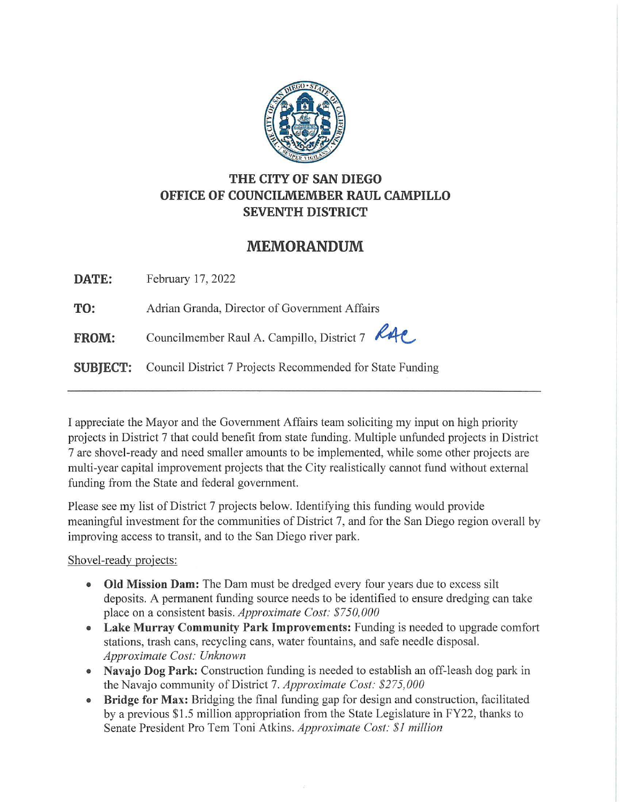

## **THE CITY OF SAN DIEGO OFFICE OF COUNCILMEMBER RAUL CAMPILLO SEVENTH DISTRICT**

## **MEMORANDUM**

**DATE:** February 17, 2022

**TO:** Adrian Granda, Director of Government Affairs

FROM: Councilmember Raul A. Campillo, District 7 RAC

**SUBJECT:** Council District 7 Projects Recommended for State Funding

I appreciate the Mayor and the Government Affairs team soliciting my input on high priority projects in District 7 that could benefit from state funding. Multiple unfunded projects in District 7 are shovel-ready and need smaller amounts to be implemented, while some other projects are multi-year capital improvement projects that the City realistically cannot fund without external funding from the State and federal government.

Please see my list of District 7 projects below. Identifying this funding would provide meaningful investment for the communities of District 7, and for the San Diego region overall by improving access to transit, and to the San Diego river park.

Shovel-ready projects:

- **Old Mission Dam:** The Dam must be dredged every four years due to excess silt deposits. A permanent funding source needs to be identified to ensure dredging can take place on a consistent basis. *Approximate Cost: \$750,000*
- **Lake Murray Community Park Improvements:** Funding is needed to upgrade comfort stations, trash cans, recycling cans, water fountains, and safe needle disposal. *Approximate Cost: Unknown*
- **Navajo Dog Park:** Construction funding is needed to establish an off-leash dog park in the Navajo community of District 7. *Approximate Cost: \$275,000*
- **Bridge for Max:** Bridging the final funding gap for design and construction, facilitated by a previous \$1.5 million appropriation from the State Legislature in FY22, thanks to Senate President Pro Tem Toni Atkins. *Approximate Cost: \$1 million*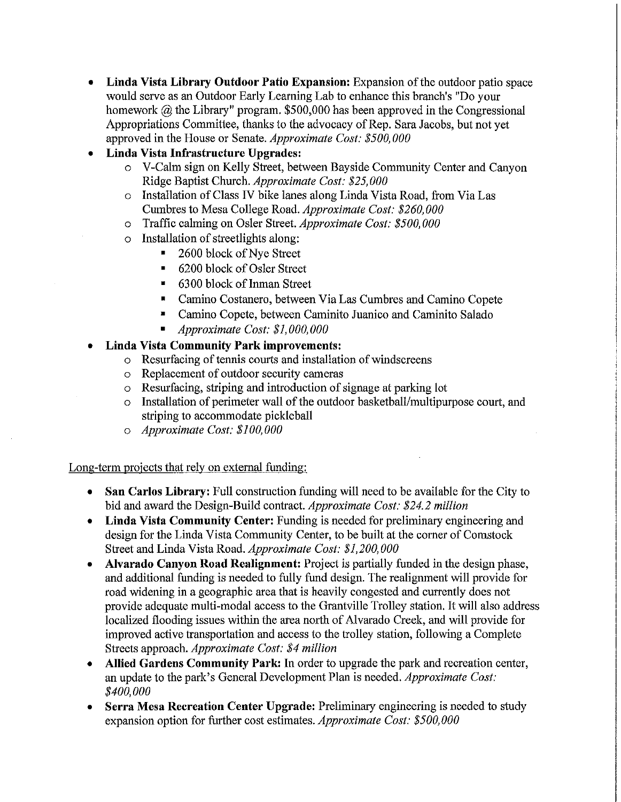- **Linda Vista Library Outdoor Patio Expansion:** Expansion of the outdoor patio space would serve as an Outdoor Early Learning Lab to enhance this branch's "Do your homework @ the Library" program. \$500,000 has been approved in the Congressional Appropriations Committee, thanks to the advocacy of Rep. Sara Jacobs, but not yet approved in the House or Senate. *Approximate Cost: \$5 00, 000*
- **Linda Vista Infrastructure Upgrades:** 
	- o V-Calm sign on Kelly Street, between Bayside Community Center and Canyon Ridge Baptist Church. *Approximate Cost: \$25,000*
	- o Installation of Class IV bike lanes along Linda Vista Road, from Via Las Cumbres to Mesa College Road. *Approximate Cost: \$260,000*
	- o Traffic calming on Osler Street. *Approximate Cost: \$5 00, 000*
	- o Installation of streetlights along:
		- 2600 block of Nye Street
		- 6200 block of Osler Street
		- $\blacksquare$  6300 block of Inman Street
		- Camino Costanero, between Via Las Cumbres and Camino Copete
		- Camino Copete, between Caminito Juanico and Caminito Salado
		- *Approximate Cost: \$1,000,000*

## • **Linda Vista Community Park improvements:**

- o Resurfacing of tennis courts and installation of windscreens
- o Replacement of outdoor security cameras
- o Resurfacing, striping and introduction of signage at parking lot
- o Installation of perimeter wall of the outdoor basketball/multipurpose court, and striping to accommodate pickleball
- o *Approximate Cost: \$100,000*

Long-term projects that rely on external funding:

- **San Carlos Library:** Full construction funding will need to be available for the City to bid and award the Design-Build contract. *Approximate Cost: \$24.2 million*
- **Linda Vista Community Center:** Funding is needed for preliminary engineering and design for the Linda Vista Community Center, to be built at the corner of Comstock Street and Linda Vista Road. *Approximate Cost: \$1,200,000*
- **Alvarado Canyon Road Realignment:** Project is partially funded in the design phase, and additional funding is needed to fully fund design. The realignment will provide for road widening in a geographic area that is heavily congested and currently does not provide adequate multi-modal access to the Grantville Trolley station. It will also address localized flooding issues within the area north of Alvarado Creek, and will provide for improved active transportation and access to the trolley station, following a Complete Streets approach. *Approximate Cost: \$4 million*
- Allied Gardens Community Park: In order to upgrade the park and recreation center, an update to the park's General Development Plan is needed. *Approximate Cost: \$400,000*
- **Serra Mesa Recreation Center Upgrade:** Preliminary engineering is needed to study expansion option for further cost estimates. *Approximate Cost: \$500,000*